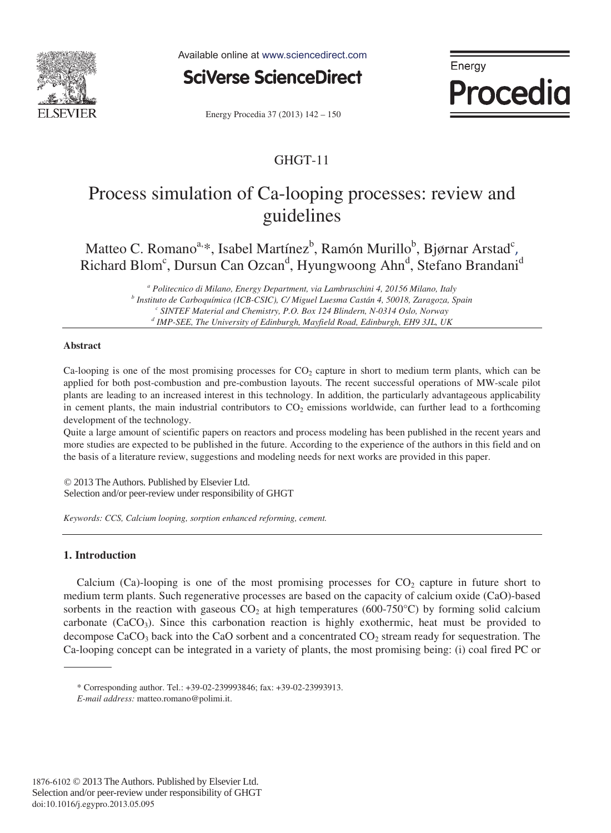

Available online at www.sciencedirect.com



Energy Procedia 37 (2013) 142 - 150

## GHGT-11

Energy

Procedia

# Process simulation of Ca-looping processes: review and guidelines

Matteo C. Romano $a^*$ , Isabel Martínez $b^*$ , Ramón Murillo $b^*$ , Bjørnar Arstad $c^*$ , Richard Blom<sup>c</sup>, Dursun Can Ozcan<sup>d</sup>, Hyungwoong Ahn<sup>d</sup>, Stefano Brandani<sup>d</sup>

> <sup>*a*</sup> Politecnico di Milano, Energy Department, via Lambruschini 4, 20156 Milano, Italy  *Politecnico di Milano, Energy Department, via Lambruschini 4, 20156 Milano, Italy b Instituto de Carboquímica (ICB-CSIC), C/ Miguel Luesma Castán 4, 50018, Zaragoza, Spain c SINTEF Material and Chemistry, P.O. Box 124 Blindern, N-0314 Oslo, Norway d IMP-SEE, The University of Edinburgh, Mayfield Road, Edinburgh, EH9 3JL, UK*

## **Abstract**

Ca-looping is one of the most promising processes for  $CO<sub>2</sub>$  capture in short to medium term plants, which can be applied for both post-combustion and pre-combustion layouts. The recent successful operations of MW-scale pilot plants are leading to an increased interest in this technology. In addition, the particularly advantageous applicability in cement plants, the main industrial contributors to  $CO<sub>2</sub>$  emissions worldwide, can further lead to a forthcoming development of the technology.

Quite a large amount of scientific papers on reactors and process modeling has been published in the recent years and more studies are expected to be published in the future. According to the experience of the authors in this field and on the basis of a literature review, suggestions and modeling needs for next works are provided in this paper.

© 2013 The Authors Published by Elsevier Ltd. © 2013 The Authors. Published by Elsevier Ltd. Selection and/or peer-review under responsibility of GHGT Selection and/or peer-review under responsibility of GHGT

*Keywords: CCS, Calcium looping, sorption enhanced reforming, cement.* 

## **1. Introduction**

Calcium (Ca)-looping is one of the most promising processes for  $CO<sub>2</sub>$  capture in future short to medium term plants. Such regenerative processes are based on the capacity of calcium oxide (CaO)-based sorbents in the reaction with gaseous  $CO<sub>2</sub>$  at high temperatures (600-750°C) by forming solid calcium carbonate  $(CaCO<sub>3</sub>)$ . Since this carbonation reaction is highly exothermic, heat must be provided to decompose CaCO<sub>3</sub> back into the CaO sorbent and a concentrated  $CO<sub>2</sub>$  stream ready for sequestration. The Ca-looping concept can be integrated in a variety of plants, the most promising being: (i) coal fired PC or

<sup>\*</sup> Corresponding author. Tel.: +39-02-239993846; fax: +39-02-23993913.

*E-mail address:* matteo.romano@polimi.it.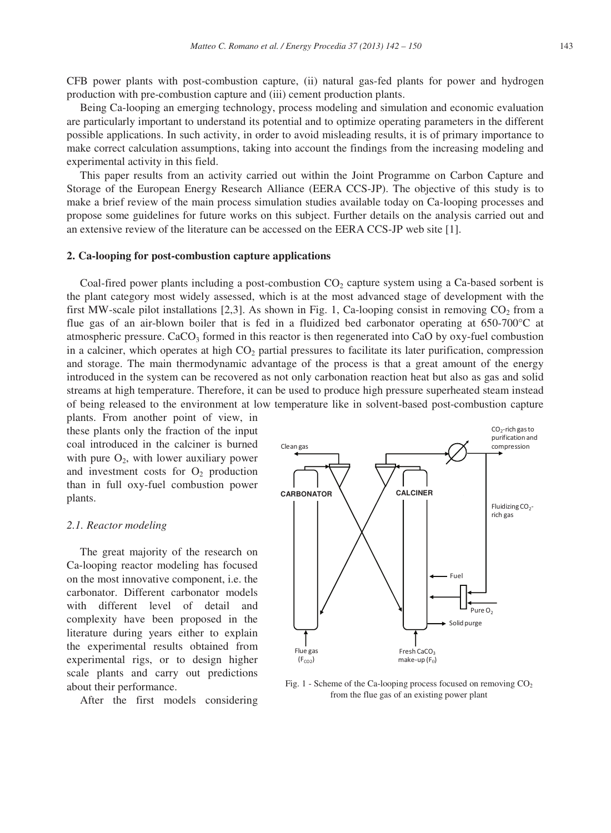CFB power plants with post-combustion capture, (ii) natural gas-fed plants for power and hydrogen production with pre-combustion capture and (iii) cement production plants.

Being Ca-looping an emerging technology, process modeling and simulation and economic evaluation are particularly important to understand its potential and to optimize operating parameters in the different possible applications. In such activity, in order to avoid misleading results, it is of primary importance to make correct calculation assumptions, taking into account the findings from the increasing modeling and experimental activity in this field.

This paper results from an activity carried out within the Joint Programme on Carbon Capture and Storage of the European Energy Research Alliance (EERA CCS-JP). The objective of this study is to make a brief review of the main process simulation studies available today on Ca-looping processes and propose some guidelines for future works on this subject. Further details on the analysis carried out and an extensive review of the literature can be accessed on the EERA CCS-JP web site [1].

## **2. Ca-looping for post-combustion capture applications**

Coal-fired power plants including a post-combustion  $CO<sub>2</sub>$  capture system using a Ca-based sorbent is the plant category most widely assessed, which is at the most advanced stage of development with the first MW-scale pilot installations  $[2,3]$ . As shown in Fig. 1, Ca-looping consist in removing CO<sub>2</sub> from a flue gas of an air-blown boiler that is fed in a fluidized bed carbonator operating at 650-700 °C at atmospheric pressure.  $CaCO<sub>3</sub>$  formed in this reactor is then regenerated into CaO by oxy-fuel combustion in a calciner, which operates at high  $CO<sub>2</sub>$  partial pressures to facilitate its later purification, compression and storage. The main thermodynamic advantage of the process is that a great amount of the energy introduced in the system can be recovered as not only carbonation reaction heat but also as gas and solid streams at high temperature. Therefore, it can be used to produce high pressure superheated steam instead of being released to the environment at low temperature like in solvent-based post-combustion capture

plants. From another point of view, in these plants only the fraction of the input coal introduced in the calciner is burned with pure  $O_2$ , with lower auxiliary power and investment costs for  $O_2$  production than in full oxy-fuel combustion power plants.

#### *2.1. Reactor modeling*

The great majority of the research on Ca-looping reactor modeling has focused on the most innovative component, i.e. the carbonator. Different carbonator models with different level of detail and complexity have been proposed in the literature during years either to explain the experimental results obtained from experimental rigs, or to design higher scale plants and carry out predictions about their performance.

After the first models considering



Fig. 1 - Scheme of the Ca-looping process focused on removing CO<sub>2</sub> from the flue gas of an existing power plant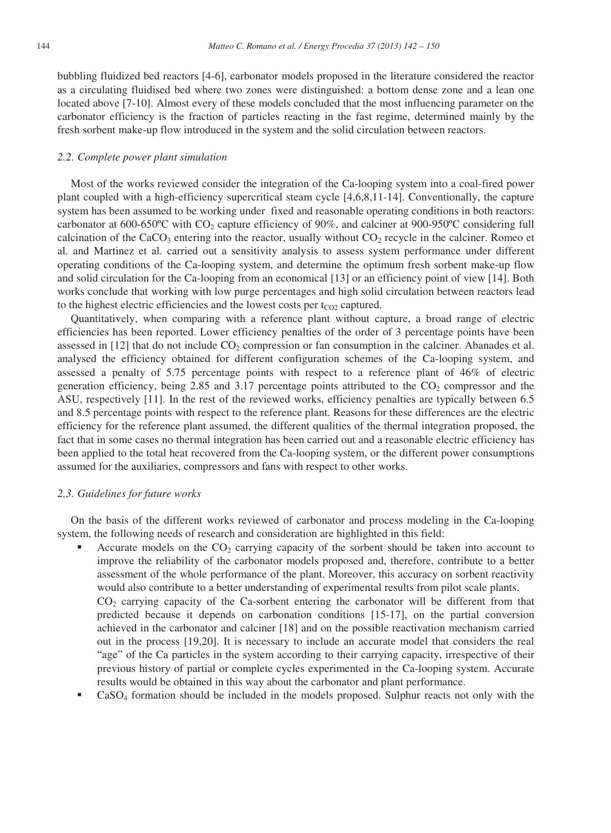bubbling fluidized bed reactors [4-6], carbonator models proposed in the literature considered the reactor as a circulating fluidised bed where two zones were distinguished: a bottom dense zone and a lean one located above [7-10]. Almost every of these models concluded that the most influencing parameter on the carbonator efficiency is the fraction of particles reacting in the fast regime, determined mainly by the fresh sorbent make-up flow introduced in the system and the solid circulation between reactors.

#### *2.2. Complete power plant simulation*

Most of the works reviewed consider the integration of the Ca-looping system into a coal-fired power plant coupled with a high-efficiency supercritical steam cycle [4,6,8,11-14]. Conventionally, the capture system has been assumed to be working under fixed and reasonable operating conditions in both reactors: carbonator at  $600-650$ °C with CO<sub>2</sub> capture efficiency of 90%, and calciner at 900-950°C considering full calcination of the CaCO<sub>3</sub> entering into the reactor, usually without  $CO_2$  recycle in the calciner. Romeo et al. and Martinez et al. carried out a sensitivity analysis to assess system performance under different operating conditions of the Ca-looping system, and determine the optimum fresh sorbent make-up flow and solid circulation for the Ca-looping from an economical [13] or an efficiency point of view [14]. Both works conclude that working with low purge percentages and high solid circulation between reactors lead to the highest electric efficiencies and the lowest costs per  $t_{CO2}$  captured.

Quantitatively, when comparing with a reference plant without capture, a broad range of electric efficiencies has been reported. Lower efficiency penalties of the order of 3 percentage points have been assessed in [12] that do not include  $CO<sub>2</sub>$  compression or fan consumption in the calciner. Abanades et al. analysed the efficiency obtained for different configuration schemes of the Ca-looping system, and assessed a penalty of 5.75 percentage points with respect to a reference plant of 46% of electric generation efficiency, being 2.85 and 3.17 percentage points attributed to the  $CO<sub>2</sub>$  compressor and the ASU, respectively [11]. In the rest of the reviewed works, efficiency penalties are typically between 6.5 and 8.5 percentage points with respect to the reference plant. Reasons for these differences are the electric efficiency for the reference plant assumed, the different qualities of the thermal integration proposed, the fact that in some cases no thermal integration has been carried out and a reasonable electric efficiency has been applied to the total heat recovered from the Ca-looping system, or the different power consumptions assumed for the auxiliaries, compressors and fans with respect to other works.

#### *2.3. Guidelines for future works*

On the basis of the different works reviewed of carbonator and process modeling in the Ca-looping system, the following needs of research and consideration are highlighted in this field:

Accurate models on the  $CO<sub>2</sub>$  carrying capacity of the sorbent should be taken into account to improve the reliability of the carbonator models proposed and, therefore, contribute to a better assessment of the whole performance of the plant. Moreover, this accuracy on sorbent reactivity would also contribute to a better understanding of experimental results from pilot scale plants.

CO2 carrying capacity of the Ca-sorbent entering the carbonator will be different from that predicted because it depends on carbonation conditions [15-17], on the partial conversion achieved in the carbonator and calciner [18] and on the possible reactivation mechanism carried out in the process [19,20]. It is necessary to include an accurate model that considers the real "age" of the Ca particles in the system according to their carrying capacity, irrespective of their previous history of partial or complete cycles experimented in the Ca-looping system. Accurate results would be obtained in this way about the carbonator and plant performance.

CaSO4 formation should be included in the models proposed. Sulphur reacts not only with the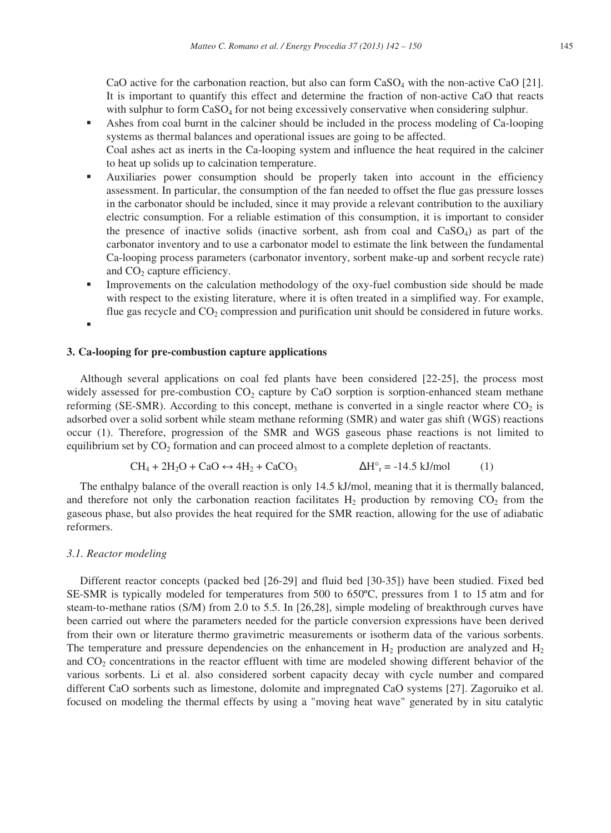CaO active for the carbonation reaction, but also can form  $CaSO<sub>4</sub>$  with the non-active CaO [21]. It is important to quantify this effect and determine the fraction of non-active CaO that reacts with sulphur to form CaSO<sub>4</sub> for not being excessively conservative when considering sulphur.

- Ashes from coal burnt in the calciner should be included in the process modeling of Ca-looping systems as thermal balances and operational issues are going to be affected. Coal ashes act as inerts in the Ca-looping system and influence the heat required in the calciner to heat up solids up to calcination temperature.
- Auxiliaries power consumption should be properly taken into account in the efficiency assessment. In particular, the consumption of the fan needed to offset the flue gas pressure losses in the carbonator should be included, since it may provide a relevant contribution to the auxiliary electric consumption. For a reliable estimation of this consumption, it is important to consider the presence of inactive solids (inactive sorbent, ash from coal and  $CaSO<sub>4</sub>$ ) as part of the carbonator inventory and to use a carbonator model to estimate the link between the fundamental Ca-looping process parameters (carbonator inventory, sorbent make-up and sorbent recycle rate) and CO<sub>2</sub> capture efficiency.
- **IMPROVEMENTS** Improvements on the calculation methodology of the oxy-fuel combustion side should be made with respect to the existing literature, where it is often treated in a simplified way. For example, flue gas recycle and  $CO<sub>2</sub>$  compression and purification unit should be considered in future works.
- f

## **3. Ca-looping for pre-combustion capture applications**

Although several applications on coal fed plants have been considered [22-25], the process most widely assessed for pre-combustion  $CO<sub>2</sub>$  capture by CaO sorption is sorption-enhanced steam methane reforming (SE-SMR). According to this concept, methane is converted in a single reactor where  $CO<sub>2</sub>$  is adsorbed over a solid sorbent while steam methane reforming (SMR) and water gas shift (WGS) reactions occur (1). Therefore, progression of the SMR and WGS gaseous phase reactions is not limited to equilibrium set by  $CO<sub>2</sub>$  formation and can proceed almost to a complete depletion of reactants.

$$
CH_4 + 2H_2O + CaO \leftrightarrow 4H_2 + CaCO_3 \qquad \Delta H^\circ = -14.5 \text{ kJ/mol} \tag{1}
$$

The enthalpy balance of the overall reaction is only 14.5 kJ/mol, meaning that it is thermally balanced, and therefore not only the carbonation reaction facilitates  $H_2$  production by removing  $CO_2$  from the gaseous phase, but also provides the heat required for the SMR reaction, allowing for the use of adiabatic reformers.

## *3.1. Reactor modeling*

Different reactor concepts (packed bed [26-29] and fluid bed [30-35]) have been studied. Fixed bed SE-SMR is typically modeled for temperatures from 500 to 650ºC, pressures from 1 to 15 atm and for steam-to-methane ratios (S/M) from 2.0 to 5.5. In [26,28], simple modeling of breakthrough curves have been carried out where the parameters needed for the particle conversion expressions have been derived from their own or literature thermo gravimetric measurements or isotherm data of the various sorbents. The temperature and pressure dependencies on the enhancement in  $H_2$  production are analyzed and  $H_2$ and  $CO<sub>2</sub>$  concentrations in the reactor effluent with time are modeled showing different behavior of the various sorbents. Li et al. also considered sorbent capacity decay with cycle number and compared different CaO sorbents such as limestone, dolomite and impregnated CaO systems [27]. Zagoruiko et al. focused on modeling the thermal effects by using a "moving heat wave" generated by in situ catalytic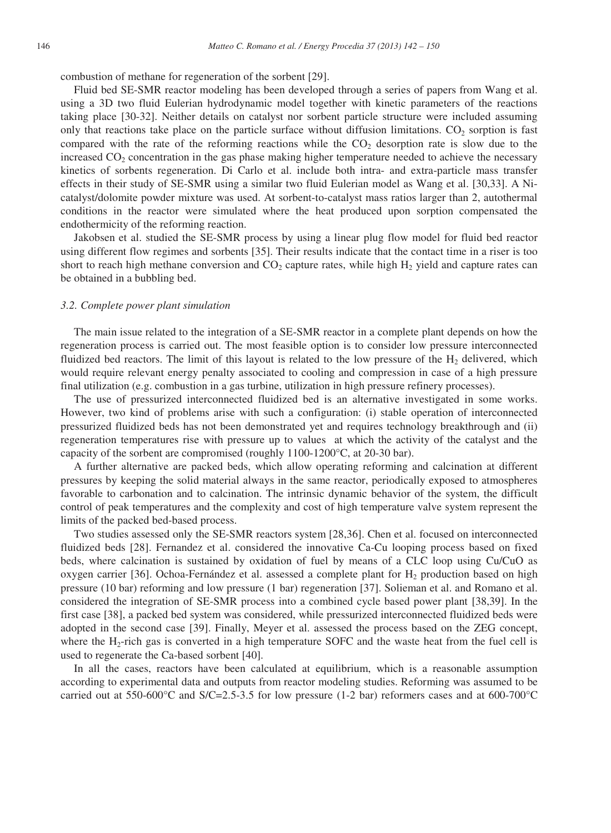combustion of methane for regeneration of the sorbent [29].

Fluid bed SE-SMR reactor modeling has been developed through a series of papers from Wang et al. using a 3D two fluid Eulerian hydrodynamic model together with kinetic parameters of the reactions taking place [30-32]. Neither details on catalyst nor sorbent particle structure were included assuming only that reactions take place on the particle surface without diffusion limitations.  $CO<sub>2</sub>$  sorption is fast compared with the rate of the reforming reactions while the  $CO<sub>2</sub>$  desorption rate is slow due to the increased  $CO<sub>2</sub>$  concentration in the gas phase making higher temperature needed to achieve the necessary kinetics of sorbents regeneration. Di Carlo et al. include both intra- and extra-particle mass transfer effects in their study of SE-SMR using a similar two fluid Eulerian model as Wang et al. [30,33]. A Nicatalyst/dolomite powder mixture was used. At sorbent-to-catalyst mass ratios larger than 2, autothermal conditions in the reactor were simulated where the heat produced upon sorption compensated the endothermicity of the reforming reaction.

Jakobsen et al. studied the SE-SMR process by using a linear plug flow model for fluid bed reactor using different flow regimes and sorbents [35]. Their results indicate that the contact time in a riser is too short to reach high methane conversion and  $CO<sub>2</sub>$  capture rates, while high  $H<sub>2</sub>$  yield and capture rates can be obtained in a bubbling bed.

#### *3.2. Complete power plant simulation*

The main issue related to the integration of a SE-SMR reactor in a complete plant depends on how the regeneration process is carried out. The most feasible option is to consider low pressure interconnected fluidized bed reactors. The limit of this layout is related to the low pressure of the  $H<sub>2</sub>$  delivered, which would require relevant energy penalty associated to cooling and compression in case of a high pressure final utilization (e.g. combustion in a gas turbine, utilization in high pressure refinery processes).

The use of pressurized interconnected fluidized bed is an alternative investigated in some works. However, two kind of problems arise with such a configuration: (i) stable operation of interconnected pressurized fluidized beds has not been demonstrated yet and requires technology breakthrough and (ii) regeneration temperatures rise with pressure up to values at which the activity of the catalyst and the capacity of the sorbent are compromised (roughly 1100-1200°C, at 20-30 bar).

A further alternative are packed beds, which allow operating reforming and calcination at different pressures by keeping the solid material always in the same reactor, periodically exposed to atmospheres favorable to carbonation and to calcination. The intrinsic dynamic behavior of the system, the difficult control of peak temperatures and the complexity and cost of high temperature valve system represent the limits of the packed bed-based process.

Two studies assessed only the SE-SMR reactors system [28,36]. Chen et al. focused on interconnected fluidized beds [28]. Fernandez et al. considered the innovative Ca-Cu looping process based on fixed beds, where calcination is sustained by oxidation of fuel by means of a CLC loop using Cu/CuO as oxygen carrier [36]. Ochoa-Fernández et al. assessed a complete plant for  $H_2$  production based on high pressure (10 bar) reforming and low pressure (1 bar) regeneration [37]. Solieman et al. and Romano et al. considered the integration of SE-SMR process into a combined cycle based power plant [38,39]. In the first case [38], a packed bed system was considered, while pressurized interconnected fluidized beds were adopted in the second case [39]. Finally, Meyer et al. assessed the process based on the ZEG concept, where the H<sub>2</sub>-rich gas is converted in a high temperature SOFC and the waste heat from the fuel cell is used to regenerate the Ca-based sorbent [40].

In all the cases, reactors have been calculated at equilibrium, which is a reasonable assumption according to experimental data and outputs from reactor modeling studies. Reforming was assumed to be carried out at 550-600 $\degree$ C and S/C=2.5-3.5 for low pressure (1-2 bar) reformers cases and at 600-700 $\degree$ C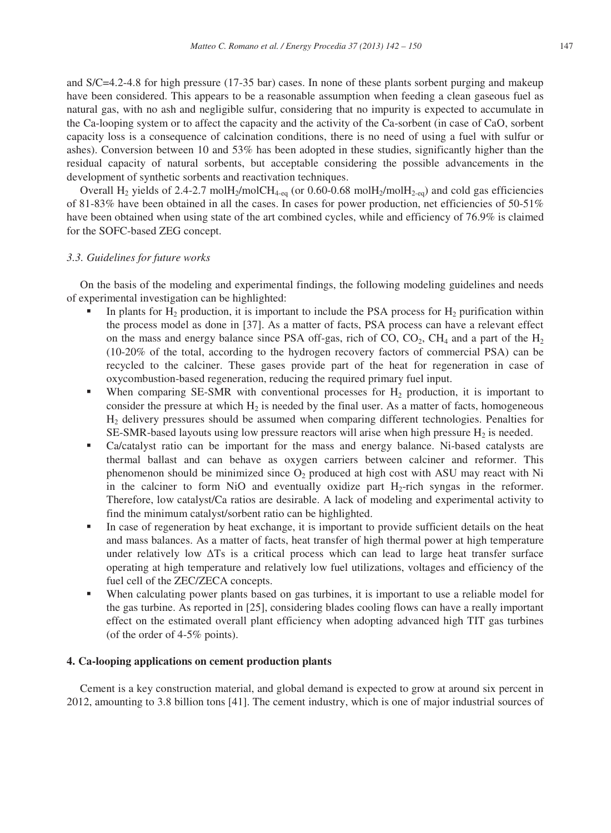and S/C=4.2-4.8 for high pressure (17-35 bar) cases. In none of these plants sorbent purging and makeup have been considered. This appears to be a reasonable assumption when feeding a clean gaseous fuel as natural gas, with no ash and negligible sulfur, considering that no impurity is expected to accumulate in the Ca-looping system or to affect the capacity and the activity of the Ca-sorbent (in case of CaO, sorbent capacity loss is a consequence of calcination conditions, there is no need of using a fuel with sulfur or ashes). Conversion between 10 and 53% has been adopted in these studies, significantly higher than the residual capacity of natural sorbents, but acceptable considering the possible advancements in the development of synthetic sorbents and reactivation techniques.

Overall H<sub>2</sub> yields of 2.4-2.7 molH<sub>2</sub>/molCH<sub>4-eq</sub> (or 0.60-0.68 molH<sub>2</sub>/molH<sub>2-cq</sub>) and cold gas efficiencies of 81-83% have been obtained in all the cases. In cases for power production, net efficiencies of 50-51% have been obtained when using state of the art combined cycles, while and efficiency of 76.9% is claimed for the SOFC-based ZEG concept.

#### *3.3. Guidelines for future works*

On the basis of the modeling and experimental findings, the following modeling guidelines and needs of experimental investigation can be highlighted:

- In plants for  $H_2$  production, it is important to include the PSA process for  $H_2$  purification within the process model as done in [37]. As a matter of facts, PSA process can have a relevant effect on the mass and energy balance since PSA off-gas, rich of  $CO$ ,  $CO<sub>2</sub>$ ,  $CH<sub>4</sub>$  and a part of the  $H<sub>2</sub>$ (10-20% of the total, according to the hydrogen recovery factors of commercial PSA) can be recycled to the calciner. These gases provide part of the heat for regeneration in case of oxycombustion-based regeneration, reducing the required primary fuel input.
- When comparing SE-SMR with conventional processes for  $H_2$  production, it is important to consider the pressure at which  $H_2$  is needed by the final user. As a matter of facts, homogeneous H2 delivery pressures should be assumed when comparing different technologies. Penalties for SE-SMR-based layouts using low pressure reactors will arise when high pressure  $H_2$  is needed.
- Ca/catalyst ratio can be important for the mass and energy balance. Ni-based catalysts are thermal ballast and can behave as oxygen carriers between calciner and reformer. This phenomenon should be minimized since  $O_2$  produced at high cost with ASU may react with Ni in the calciner to form NiO and eventually oxidize part  $H_2$ -rich syngas in the reformer. Therefore, low catalyst/Ca ratios are desirable. A lack of modeling and experimental activity to find the minimum catalyst/sorbent ratio can be highlighted.
- In case of regeneration by heat exchange, it is important to provide sufficient details on the heat and mass balances. As a matter of facts, heat transfer of high thermal power at high temperature under relatively low  $\Delta$ Ts is a critical process which can lead to large heat transfer surface operating at high temperature and relatively low fuel utilizations, voltages and efficiency of the fuel cell of the ZEC/ZECA concepts.
- When calculating power plants based on gas turbines, it is important to use a reliable model for the gas turbine. As reported in [25], considering blades cooling flows can have a really important effect on the estimated overall plant efficiency when adopting advanced high TIT gas turbines (of the order of 4-5% points).

## **4. Ca-looping applications on cement production plants**

Cement is a key construction material, and global demand is expected to grow at around six percent in 2012, amounting to 3.8 billion tons [41]. The cement industry, which is one of major industrial sources of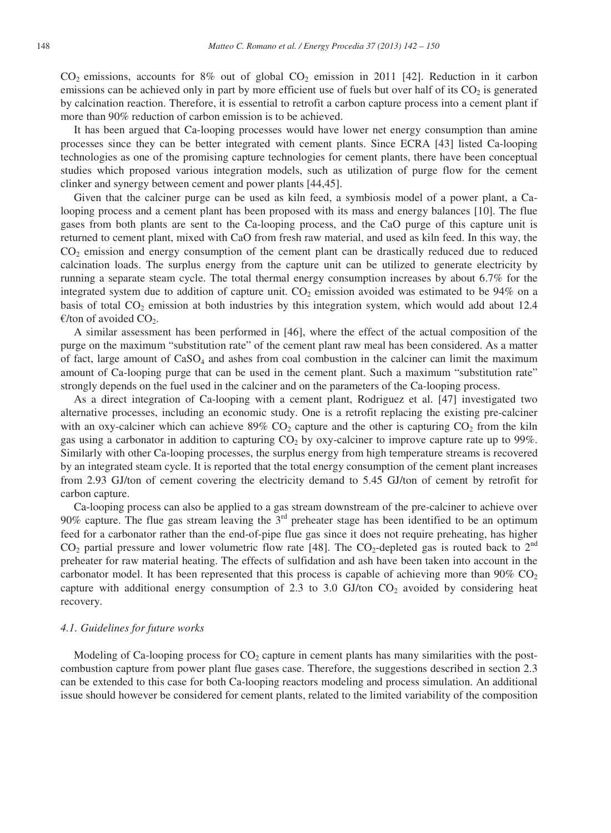$CO<sub>2</sub>$  emissions, accounts for 8% out of global  $CO<sub>2</sub>$  emission in 2011 [42]. Reduction in it carbon emissions can be achieved only in part by more efficient use of fuels but over half of its  $CO<sub>2</sub>$  is generated by calcination reaction. Therefore, it is essential to retrofit a carbon capture process into a cement plant if more than 90% reduction of carbon emission is to be achieved.

It has been argued that Ca-looping processes would have lower net energy consumption than amine processes since they can be better integrated with cement plants. Since ECRA [43] listed Ca-looping technologies as one of the promising capture technologies for cement plants, there have been conceptual studies which proposed various integration models, such as utilization of purge flow for the cement clinker and synergy between cement and power plants [44,45].

Given that the calciner purge can be used as kiln feed, a symbiosis model of a power plant, a Calooping process and a cement plant has been proposed with its mass and energy balances [10]. The flue gases from both plants are sent to the Ca-looping process, and the CaO purge of this capture unit is returned to cement plant, mixed with CaO from fresh raw material, and used as kiln feed. In this way, the CO2 emission and energy consumption of the cement plant can be drastically reduced due to reduced calcination loads. The surplus energy from the capture unit can be utilized to generate electricity by running a separate steam cycle. The total thermal energy consumption increases by about 6.7% for the integrated system due to addition of capture unit.  $CO<sub>2</sub>$  emission avoided was estimated to be 94% on a basis of total  $CO<sub>2</sub>$  emission at both industries by this integration system, which would add about 12.4 €/ton of avoided  $CO<sub>2</sub>$ .

A similar assessment has been performed in [46], where the effect of the actual composition of the purge on the maximum "substitution rate" of the cement plant raw meal has been considered. As a matter of fact, large amount of  $CaSO<sub>4</sub>$  and ashes from coal combustion in the calciner can limit the maximum amount of Ca-looping purge that can be used in the cement plant. Such a maximum "substitution rate" strongly depends on the fuel used in the calciner and on the parameters of the Ca-looping process.

As a direct integration of Ca-looping with a cement plant, Rodriguez et al. [47] investigated two alternative processes, including an economic study. One is a retrofit replacing the existing pre-calciner with an oxy-calciner which can achieve  $89\%$  CO<sub>2</sub> capture and the other is capturing CO<sub>2</sub> from the kiln gas using a carbonator in addition to capturing  $CO<sub>2</sub>$  by oxy-calciner to improve capture rate up to 99%. Similarly with other Ca-looping processes, the surplus energy from high temperature streams is recovered by an integrated steam cycle. It is reported that the total energy consumption of the cement plant increases from 2.93 GJ/ton of cement covering the electricity demand to 5.45 GJ/ton of cement by retrofit for carbon capture.

Ca-looping process can also be applied to a gas stream downstream of the pre-calciner to achieve over 90% capture. The flue gas stream leaving the  $3<sup>rd</sup>$  preheater stage has been identified to be an optimum feed for a carbonator rather than the end-of-pipe flue gas since it does not require preheating, has higher  $CO_2$  partial pressure and lower volumetric flow rate [48]. The  $CO_2$ -depleted gas is routed back to  $2<sup>nd</sup>$ preheater for raw material heating. The effects of sulfidation and ash have been taken into account in the carbonator model. It has been represented that this process is capable of achieving more than  $90\%$  CO<sub>2</sub> capture with additional energy consumption of 2.3 to 3.0 GJ/ton  $CO_2$  avoided by considering heat recovery.

#### *4.1. Guidelines for future works*

Modeling of Ca-looping process for  $CO<sub>2</sub>$  capture in cement plants has many similarities with the postcombustion capture from power plant flue gases case. Therefore, the suggestions described in section 2.3 can be extended to this case for both Ca-looping reactors modeling and process simulation. An additional issue should however be considered for cement plants, related to the limited variability of the composition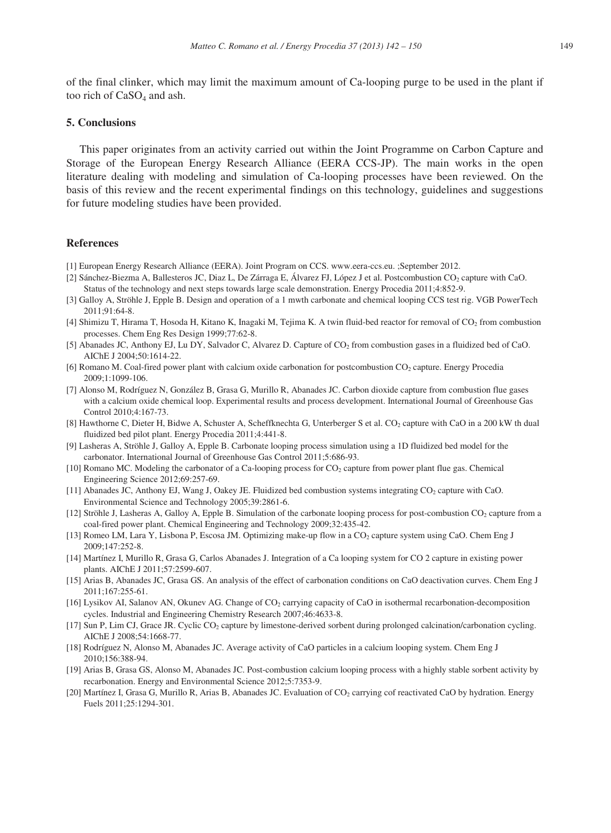of the final clinker, which may limit the maximum amount of Ca-looping purge to be used in the plant if too rich of  $CaSO<sub>4</sub>$  and ash.

## **5. Conclusions**

This paper originates from an activity carried out within the Joint Programme on Carbon Capture and Storage of the European Energy Research Alliance (EERA CCS-JP). The main works in the open literature dealing with modeling and simulation of Ca-looping processes have been reviewed. On the basis of this review and the recent experimental findings on this technology, guidelines and suggestions for future modeling studies have been provided.

## **References**

- [1] European Energy Research Alliance (EERA). Joint Program on CCS. www.eera-ccs.eu. ;September 2012.
- [2] Sánchez-Biezma A, Ballesteros JC, Diaz L, De Zárraga E, Álvarez FJ, López J et al. Postcombustion CO<sub>2</sub> capture with CaO. Status of the technology and next steps towards large scale demonstration. Energy Procedia 2011;4:852-9.
- [3] Galloy A, Ströhle J, Epple B. Design and operation of a 1 mwth carbonate and chemical looping CCS test rig. VGB PowerTech 2011;91:64-8.
- [4] Shimizu T, Hirama T, Hosoda H, Kitano K, Inagaki M, Tejima K. A twin fluid-bed reactor for removal of  $CO<sub>2</sub>$  from combustion processes. Chem Eng Res Design 1999;77:62-8.
- [5] Abanades JC, Anthony EJ, Lu DY, Salvador C, Alvarez D. Capture of CO2 from combustion gases in a fluidized bed of CaO. AIChE J 2004;50:1614-22.
- [6] Romano M. Coal-fired power plant with calcium oxide carbonation for postcombustion CO<sub>2</sub> capture. Energy Procedia 2009;1:1099-106.
- [7] Alonso M, Rodríguez N, González B, Grasa G, Murillo R, Abanades JC. Carbon dioxide capture from combustion flue gases with a calcium oxide chemical loop. Experimental results and process development. International Journal of Greenhouse Gas Control 2010;4:167-73.
- [8] Hawthorne C, Dieter H, Bidwe A, Schuster A, Scheffknechta G, Unterberger S et al. CO<sub>2</sub> capture with CaO in a 200 kW th dual fluidized bed pilot plant. Energy Procedia 2011;4:441-8.
- [9] Lasheras A, Ströhle J, Galloy A, Epple B. Carbonate looping process simulation using a 1D fluidized bed model for the carbonator. International Journal of Greenhouse Gas Control 2011;5:686-93.
- [10] Romano MC. Modeling the carbonator of a Ca-looping process for CO<sub>2</sub> capture from power plant flue gas. Chemical Engineering Science 2012;69:257-69.
- [11] Abanades JC, Anthony EJ, Wang J, Oakey JE. Fluidized bed combustion systems integrating  $CO<sub>2</sub>$  capture with CaO. Environmental Science and Technology 2005;39:2861-6.
- [12] Ströhle J, Lasheras A, Galloy A, Epple B. Simulation of the carbonate looping process for post-combustion CO<sub>2</sub> capture from a coal-fired power plant. Chemical Engineering and Technology 2009;32:435-42.
- [13] Romeo LM, Lara Y, Lisbona P, Escosa JM. Optimizing make-up flow in a CO<sub>2</sub> capture system using CaO. Chem Eng J 2009;147:252-8.
- [14] Martínez I, Murillo R, Grasa G, Carlos Abanades J. Integration of a Ca looping system for CO 2 capture in existing power plants. AIChE J 2011;57:2599-607.
- [15] Arias B, Abanades JC, Grasa GS. An analysis of the effect of carbonation conditions on CaO deactivation curves. Chem Eng J  $2011:167:255-61$
- [16] Lysikov AI, Salanov AN, Okunev AG. Change of CO<sub>2</sub> carrying capacity of CaO in isothermal recarbonation-decomposition cycles. Industrial and Engineering Chemistry Research 2007;46:4633-8.
- [17] Sun P, Lim CJ, Grace JR. Cyclic CO2 capture by limestone-derived sorbent during prolonged calcination/carbonation cycling. AIChE J 2008;54:1668-77.
- [18] Rodríguez N, Alonso M, Abanades JC. Average activity of CaO particles in a calcium looping system. Chem Eng J 2010;156:388-94.
- [19] Arias B, Grasa GS, Alonso M, Abanades JC. Post-combustion calcium looping process with a highly stable sorbent activity by recarbonation. Energy and Environmental Science 2012;5:7353-9.
- [20] Martínez I, Grasa G, Murillo R, Arias B, Abanades JC. Evaluation of CO<sub>2</sub> carrying cof reactivated CaO by hydration. Energy Fuels 2011;25:1294-301.